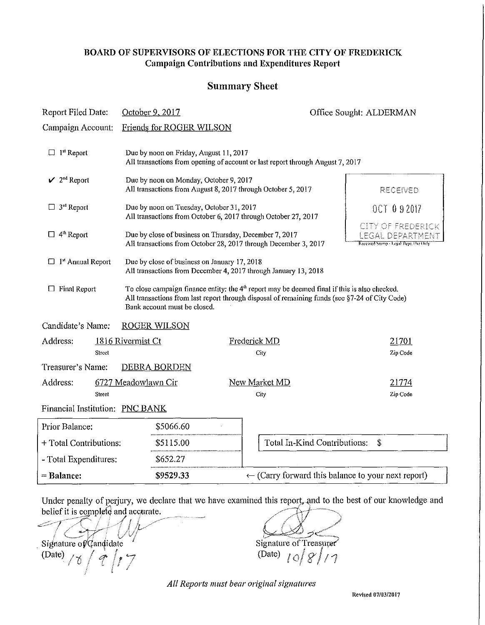#### BOARD OF SUPERVISORS OF ELECTIONS FOR THE CITY OF FREDERICK Campaign Contributions and Expenditures Report

### Summary Sheet

| Report Filed Date:                      | October 9, 2017                                                                                                                                                                                                                   |                                                                                                                           | Office Sought: ALDERMAN                         |
|-----------------------------------------|-----------------------------------------------------------------------------------------------------------------------------------------------------------------------------------------------------------------------------------|---------------------------------------------------------------------------------------------------------------------------|-------------------------------------------------|
| Campaign Account:                       | Friends for ROGER WILSON                                                                                                                                                                                                          |                                                                                                                           |                                                 |
| $\Box$ 1 <sup>st</sup> Report           | Due by noon on Friday, August 11, 2017<br>All transactions from opening of account or last report through August 7, 2017                                                                                                          |                                                                                                                           |                                                 |
| $\mathcal{V}$ 2 <sup>nd</sup> Report    | Due by noon on Monday, October 9, 2017<br>All transactions from August 8, 2017 through October 5, 2017                                                                                                                            |                                                                                                                           | RECEIVED                                        |
| $\Box$ 3 <sup>rd</sup> Report           | Due by noon on Tuesday, October 31, 2017<br>All transactions from October 6, 2017 through October 27, 2017                                                                                                                        |                                                                                                                           | <b>OCT 0 9 2017</b><br><b>CITY OF FREDERICK</b> |
| $\Box$ 4 <sup>th</sup> Report           |                                                                                                                                                                                                                                   | Due by close of business on Thursday, December 7, 2017<br>All transactions from October 28, 2017 through December 3, 2017 |                                                 |
| $\square$ 1 <sup>st</sup> Annual Report | Due by close of business on January 17, 2018<br>All transactions from December 4, 2017 through January 13, 2018                                                                                                                   |                                                                                                                           |                                                 |
| $\Box$ Final Report                     | To close campaign finance entity: the $4th$ report may be deemed final if this is also checked.<br>All transactions from last report through disposal of remaining funds (see §7-24 of City Code)<br>Bank account must be closed. |                                                                                                                           |                                                 |
| Candidate's Name:                       | <b>ROGER WILSON</b>                                                                                                                                                                                                               |                                                                                                                           |                                                 |
| Address:<br>Street                      | 1816 Rivermist Ct                                                                                                                                                                                                                 | Frederick MD<br>City                                                                                                      | 21701<br>Zip Code                               |
| Treasurer's Name:                       | <b>DEBRA BORDEN</b>                                                                                                                                                                                                               |                                                                                                                           |                                                 |
| Address:<br>Street                      | 6727 Meadowlawn Cir                                                                                                                                                                                                               | New Market MD<br>City                                                                                                     | 21774<br>Zip Code                               |
| Financial Institution: PNC BANK         |                                                                                                                                                                                                                                   |                                                                                                                           |                                                 |
| Prior Balance:                          | \$5066.60                                                                                                                                                                                                                         |                                                                                                                           |                                                 |
| + Total Contributions:                  | \$5115.00                                                                                                                                                                                                                         | Total In-Kind Contributions:                                                                                              | $\mathbf S$                                     |
| - Total Expenditures:                   | \$652.27                                                                                                                                                                                                                          |                                                                                                                           |                                                 |
| = Balance:                              | \$9529.33                                                                                                                                                                                                                         | $\leftarrow$ (Carry forward this balance to your next report)                                                             |                                                 |

Under penalty of perjury, we declare that we have examined this report, and to the best of our knowledge and

belief it is complete and accurate.  $\frac{1}{2}$   $\frac{1}{2}$   $\frac{1}{2}$   $\frac{1}{2}$   $\frac{1}{2}$   $\frac{1}{2}$   $\frac{1}{2}$   $\frac{1}{2}$   $\frac{1}{2}$   $\frac{1}{2}$   $\frac{1}{2}$   $\frac{1}{2}$   $\frac{1}{2}$   $\frac{1}{2}$   $\frac{1}{2}$   $\frac{1}{2}$   $\frac{1}{2}$   $\frac{1}{2}$   $\frac{1}{2}$   $\frac{1}{2}$   $\frac{1}{2}$   $\frac{1}{2}$  Signature of Candidate (Signature of Treasurer Signature of Treasurer Signature of Treasurer Signature of Treasurer

*All Reports must bear original signatures* 

Revised 07103/2017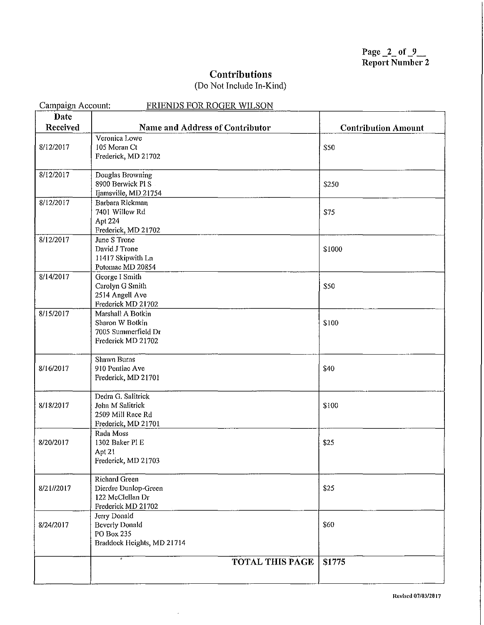Page  $2$  of  $9$ Report Number 2

### **Contributions**

## (Do Not Include In-Kind)

| Campaign Account:<br><b>FRIENDS FOR ROGER WILSON</b> |                                     |                            |  |
|------------------------------------------------------|-------------------------------------|----------------------------|--|
| <b>Date</b>                                          |                                     |                            |  |
| Received                                             | Name and Address of Contributor     | <b>Contribution Amount</b> |  |
|                                                      | Veronica Lowe                       |                            |  |
| 8/12/2017                                            | 105 Moran Ct                        | \$50                       |  |
|                                                      | Frederick, MD 21702                 |                            |  |
|                                                      |                                     |                            |  |
| 8/12/2017                                            | Douglas Browning                    |                            |  |
|                                                      | 8900 Berwick Pl S                   | \$250                      |  |
|                                                      | Ijamsville, MD 21754                |                            |  |
| 8/12/2017                                            | Barbara Rickman                     |                            |  |
|                                                      | 7401 Willow Rd                      | \$75                       |  |
|                                                      | Apt 224                             |                            |  |
|                                                      | Frederick, MD 21702                 |                            |  |
| 8/12/2017                                            | June S Trone<br>David J Trone       |                            |  |
|                                                      | 11417 Skipwith Ln                   | \$1000                     |  |
|                                                      | Potomac MD 20854                    |                            |  |
| 8/14/2017                                            | George I Smith                      |                            |  |
|                                                      | Carolyn G Smith                     | \$50                       |  |
|                                                      | 2514 Angell Ave                     |                            |  |
|                                                      | Frederick MD 21702                  |                            |  |
| 8/15/2017                                            | Marshall A Botkin                   |                            |  |
|                                                      | Sharon W Botkin                     | \$100                      |  |
|                                                      | 7005 Summerfield Dr                 |                            |  |
|                                                      | Frederick MD 21702                  |                            |  |
|                                                      |                                     |                            |  |
|                                                      | <b>Shawn Burns</b>                  |                            |  |
| 8/16/2017                                            | 910 Pontiac Ave                     | \$40                       |  |
|                                                      | Frederick, MD 21701                 |                            |  |
|                                                      | Dedra G. Salitrick                  |                            |  |
| 8/18/2017                                            | John M Salitrick                    | \$100                      |  |
|                                                      | 2509 Mill Race Rd                   |                            |  |
|                                                      | Frederick, MD 21701                 |                            |  |
|                                                      | Rada Moss                           |                            |  |
| 8/20/2017                                            | 1302 Baker PI E                     | \$25                       |  |
|                                                      | Apt 21                              |                            |  |
|                                                      | Frederick, MD 21703                 |                            |  |
|                                                      |                                     |                            |  |
|                                                      | <b>Richard Green</b>                |                            |  |
| 8/21//2017                                           | Dierdre Dunlop-Green                | \$25                       |  |
|                                                      | 122 McClellan Dr                    |                            |  |
|                                                      | Frederick MD 21702                  |                            |  |
|                                                      | Jerry Donald                        | \$60                       |  |
| 8/24/2017                                            | <b>Beverly Donald</b><br>PO Box 235 |                            |  |
|                                                      | Braddock Heights, MD 21714          |                            |  |
|                                                      |                                     |                            |  |
|                                                      | <b>TOTAL THIS PAGE</b>              | \$1775                     |  |
|                                                      |                                     |                            |  |
|                                                      |                                     |                            |  |

 $\hat{\mathcal{L}}$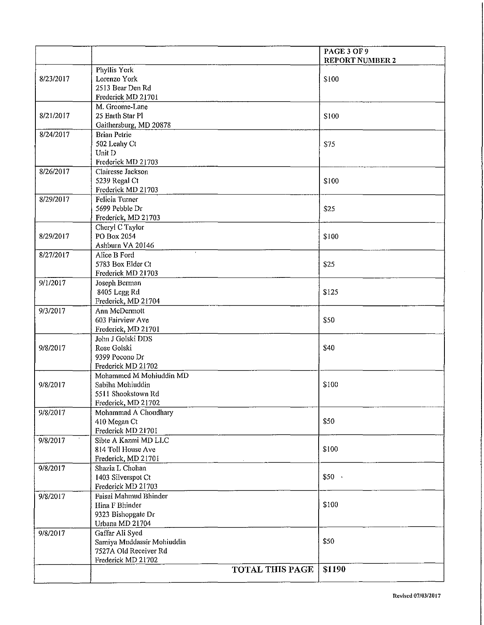|           |                                               | PAGE 3 OF 9            |
|-----------|-----------------------------------------------|------------------------|
|           |                                               | <b>REPORT NUMBER 2</b> |
|           | Phyllis York                                  |                        |
| 8/23/2017 | Lorenzo York                                  | \$100                  |
|           | 2513 Bear Den Rd                              |                        |
|           | Frederick MD 21701<br>M. Groome-Lane          |                        |
| 8/21/2017 | 25 Earth Star Pl                              | \$100                  |
|           | Gaithersburg, MD 20878                        |                        |
| 8/24/2017 | <b>Brian Petrie</b>                           |                        |
|           | 502 Leahy Ct                                  | \$75                   |
|           | Unit D                                        |                        |
|           | Frederick MD 21703                            |                        |
| 8/26/2017 | Clairesse Jackson                             |                        |
|           | 5239 Regal Ct                                 | \$100                  |
|           | Frederick MD 21703                            |                        |
| 8/29/2017 | Felicia Turner                                |                        |
|           | 5699 Pebble Dr                                | \$25                   |
|           | Frederick, MD 21703                           |                        |
|           | Cheryl C Taylor                               |                        |
| 8/29/2017 | PO Box 2054                                   | \$100                  |
|           | Ashburn VA 20146                              |                        |
| 8/27/2017 | Alice B Ford                                  |                        |
|           | 5783 Box Elder Ct                             | \$25                   |
|           | Frederick MD 21703                            |                        |
| 9/1/2017  | Joseph Berman                                 |                        |
|           | 8405 Legg Rd                                  | \$125                  |
|           | Frederick, MD 21704                           |                        |
| 9/3/2017  | Ann McDermott                                 |                        |
|           | 603 Fairview Ave                              | \$50                   |
|           | Frederick, MD 21701<br>John J Golski DDS      |                        |
| 9/8/2017  | Rose Golski                                   | \$40                   |
|           | 9399 Pocono Dr                                |                        |
|           | Frederick MD 21702                            |                        |
|           | Mohammed M Mohiuddin MD                       |                        |
| 9/8/2017  | Sabiha Mohiuddin                              | \$100                  |
|           | 5511 Shookstown Rd                            |                        |
|           | Frederick, MD 21702                           |                        |
| 9/8/2017  | Mohammad A Choudhary                          |                        |
|           | 410 Megan Ct                                  | \$50                   |
|           | Frederick MD 21701                            |                        |
| 9/8/2017  | Sibte A Kazmi MD LLC                          |                        |
|           | 814 Toll House Ave                            | \$100                  |
|           | Frederick, MD 21701                           |                        |
| 9/8/2017  | Shazia L Chohan                               |                        |
|           | 1403 Silverspot Ct                            | \$50                   |
|           | Frederick MD 21703                            |                        |
| 9/8/2017  | Faisal Mahmud Bhinder                         |                        |
|           | Hina F Bhinder                                | \$100                  |
|           | 9323 Bishopgate Dr                            |                        |
|           | Urbana MD 21704                               |                        |
| 9/8/2017  | Gaffar Ali Syed<br>Samiya Muddassir Mohiuddin | \$50                   |
|           | 7527A Old Receiver Rd                         |                        |
|           | Frederick MD 21702                            |                        |
|           | <b>TOTAL THIS PAGE</b>                        | \$1190                 |
|           |                                               |                        |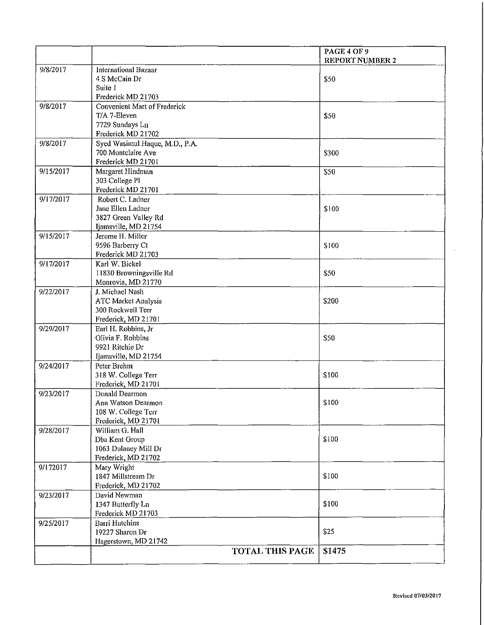|           |                                          | PAGE 4 OF 9            |
|-----------|------------------------------------------|------------------------|
| 9/8/2017  | <b>International Bazaar</b>              | <b>REPORT NUMBER 2</b> |
|           | 4 S McCain Dr                            | \$50                   |
|           | Suite 1                                  |                        |
|           | Frederick MD 21703                       |                        |
| 9/8/2017  | Convenient Mart of Frederick             |                        |
|           | T/A 7-Eleven                             | \$50                   |
|           | 7729 Sundays Ln                          |                        |
|           | Frederick MD 21702                       |                        |
| 9/8/2017  | Syed Wasimul Haque, M.D., P.A.           |                        |
|           | 700 Montclaire Ave                       | \$300                  |
|           | Frederick MD 21701                       |                        |
| 9/15/2017 | Margaret Hindman                         | \$50                   |
|           | 303 College Pl                           |                        |
|           | Frederick MD 21701                       |                        |
| 9/17/2017 | Robert C. Ladner                         |                        |
|           | Jane Ellen Ladner                        | \$100                  |
|           | 3827 Green Valley Rd                     |                        |
| 9/15/2017 | Ijamsville, MD 21754<br>Jerome H. Miller |                        |
|           | 9596 Barberry Ct                         | \$100                  |
|           | Frederick MD 21703                       |                        |
| 9/17/2017 | Karl W. Bickel                           |                        |
|           | 11830 Browningsville Rd                  | \$50                   |
|           | Monrovia, MD 21770                       |                        |
| 9/22/2017 | J. Michael Nash                          |                        |
|           | ATC Market Analysis                      | \$200                  |
|           | 300 Rockwell Terr                        |                        |
|           | Frederick, MD 21701                      |                        |
| 9/29/2017 | Earl H. Robbins, Jr                      |                        |
|           | Olivia F. Robbins                        | \$50                   |
|           | 9921 Ritchie Dr                          |                        |
|           | Ijamsville, MD 21754                     |                        |
| 9/24/2017 | Peter Brehm                              |                        |
|           | 318 W. College Terr                      | \$100                  |
|           | Frederick, MD 21701                      |                        |
| 9/23/2017 | Donald Dearmon                           |                        |
|           | Ann Watson Dearmon                       | \$100                  |
|           | 108 W. College Terr                      |                        |
|           | Frederick, MD 21701<br>William G. Hall   |                        |
| 9/28/2017 |                                          | \$100                  |
|           | Dba Kent Group<br>1063 Dulaney Mill Dr   |                        |
|           | Frederick, MD 21702                      |                        |
| 9/172017  | Mary Wright                              |                        |
|           | 1847 Millstream Dr                       | \$100                  |
|           | Frederick, MD 21702                      |                        |
| 9/23/2017 | David Newman                             |                        |
|           | 1347 Butterfly Ln                        | \$100                  |
|           | Frederick MD 21703                       |                        |
| 9/25/2017 | <b>Barri Hutchins</b>                    |                        |
|           | 19227 Sharon Dr                          | \$25                   |
|           | Hagerstown, MD 21742                     |                        |
|           | TOTAL THIS PAGE                          | \$1475                 |
|           |                                          |                        |

 $\epsilon$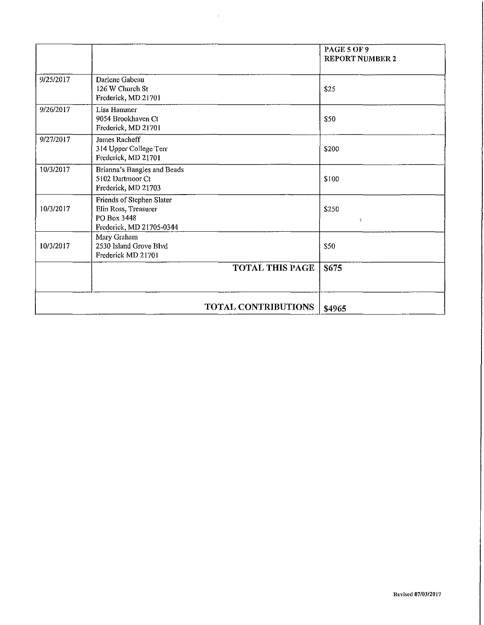|           |                                                                                              | PAGE 5 OF 9<br><b>REPORT NUMBER 2</b> |
|-----------|----------------------------------------------------------------------------------------------|---------------------------------------|
| 9/25/2017 | Darlene Gabeau<br>126 W Church St<br>Frederick, MD 21701                                     | \$25                                  |
| 9/26/2017 | Lisa Hammer<br>9054 Brookhaven Ct<br>Frederick, MD 21701                                     | \$50                                  |
| 9/27/2017 | James Racheff<br>314 Upper College Terr<br>Frederick, MD 21701                               | \$200                                 |
| 10/3/2017 | Brianna's Bangles and Beads<br>5102 Dartmoor Ct<br>Frederick, MD 21703                       | \$100                                 |
| 10/3/2017 | Friends of Stephen Slater<br>Elin Ross, Treasurer<br>PO Box 3448<br>Frederick, MD 21705-0344 | \$250<br>Ñ.                           |
| 10/3/2017 | Mary Graham<br>2530 Island Grove Blvd<br>Frederick MD 21701                                  | \$50                                  |
|           | <b>TOTAL THIS PAGE</b>                                                                       | \$675                                 |
|           | TOTAL CONTRIBUTIONS                                                                          | \$4965                                |

 $\sim 10$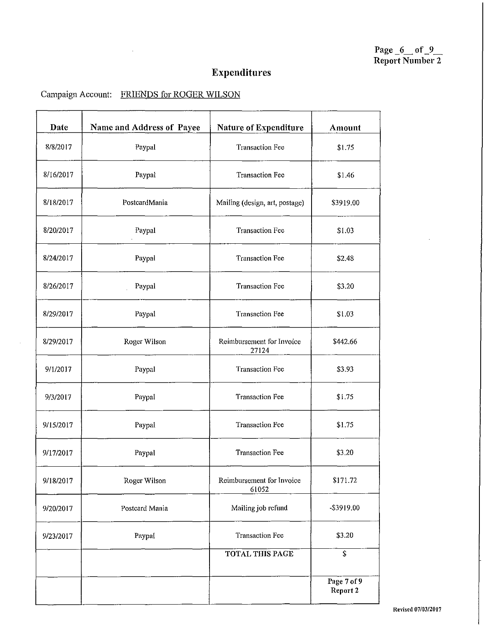Page  $_6$  of  $_9$ Report Number 2

# Expenditures

## Campaign Account: FRIENDS for ROGER WILSON

 $\mathcal{L}_{\mathcal{A}}$ 

 $\mathcal{L}_{\mathcal{A}}$ 

| Date      | Name and Address of Payee | Nature of Expenditure              | Amount                  |
|-----------|---------------------------|------------------------------------|-------------------------|
| 8/8/2017  | Paypal                    | <b>Transaction Fee</b>             | \$1.75                  |
| 8/16/2017 | Paypal                    | <b>Transaction Fee</b>             | \$1.46                  |
| 8/18/2017 | PostcardMania             | Mailing (design, art, postage)     | \$3919.00               |
| 8/20/2017 | Paypal                    | <b>Transaction Fee</b>             | \$1.03                  |
| 8/24/2017 | Paypal                    | <b>Transaction Fee</b>             | \$2.48                  |
| 8/26/2017 | Paypal                    | <b>Transaction Fee</b>             | \$3.20                  |
| 8/29/2017 | Paypal                    | <b>Transaction Fee</b>             | \$1.03                  |
| 8/29/2017 | Roger Wilson              | Reimbursement for Invoice<br>27124 | \$442.66                |
| 9/1/2017  | Paypal                    | <b>Transaction Fee</b>             | \$3.93                  |
| 9/3/2017  | Paypal                    | <b>Transaction Fee</b>             | \$1.75                  |
| 9/15/2017 | Paypal                    | <b>Transaction Fee</b>             | \$1.75                  |
| 9/17/2017 | Paypal                    | <b>Transaction Fee</b>             | \$3,20                  |
| 9/18/2017 | Roger Wilson              | Reimbursement for Invoice<br>61052 | \$171.72                |
| 9/20/2017 | Postcard Mania            | Mailing job refund                 | -\$3919.00              |
| 9/23/2017 | Paypal                    | <b>Transaction Fee</b>             | \$3.20                  |
|           |                           | TOTAL THIS PAGE                    | \$                      |
|           |                           |                                    | Page 7 of 9<br>Report 2 |

ReYiscd *07/0312017*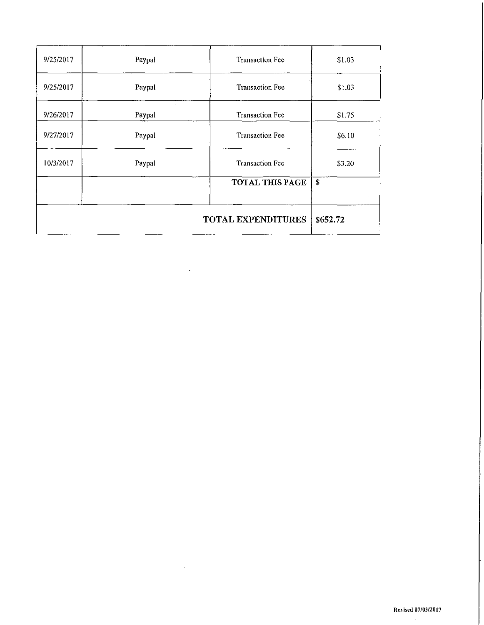| 9/25/2017                             | Paypal | Transaction Fee        | \$1.03 |
|---------------------------------------|--------|------------------------|--------|
| 9/25/2017                             | Paypal | <b>Transaction Fee</b> | \$1.03 |
| 9/26/2017                             | Paypal | <b>Transaction Fee</b> | \$1.75 |
| 9/27/2017                             | Paypal | <b>Transaction Fee</b> | \$6.10 |
| 10/3/2017                             | Paypal | <b>Transaction Fee</b> | \$3.20 |
|                                       |        | TOTAL THIS PAGE        | \$     |
| <b>TOTAL EXPENDITURES</b><br>\$652.72 |        |                        |        |

 $\ddot{\phantom{1}}$ 

 $\sim$